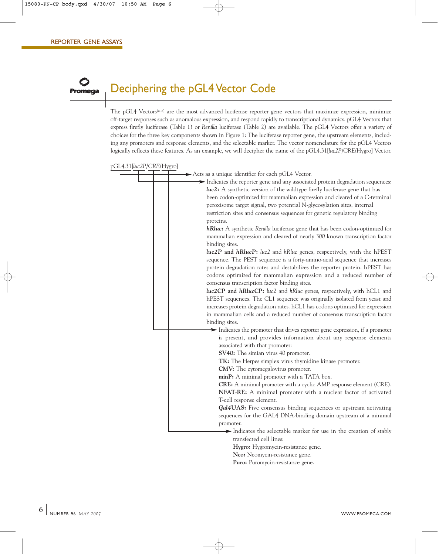## Deciphering the pGL4 Vector Code

The pGL4 Vectors<sup>(a–e)</sup> are the most advanced luciferase reporter gene vectors that maximize expression, minimize off-target responses such as anomalous expression, and respond rapidly to transcriptional dynamics. pGL4 Vectors that express firefly luciferase (Table 1) or *Renilla* luciferase (Table 2) are available. The pGL4 Vectors offer a variety of choices for the three key components shown in Figure 1: The luciferase reporter gene, the upstream elements, including any promoters and response elements, and the selectable marker. The vector nomenclature for the pGL4 Vectors logically reflects these features. As an example, we will decipher the name of the pGL4.31[*luc2P*/CRE/Hygro] Vector.

pGL4.31[*luc2P*/*CRE*/Hygro]



**Puro:** Puromycin-resistance gene.

**6**